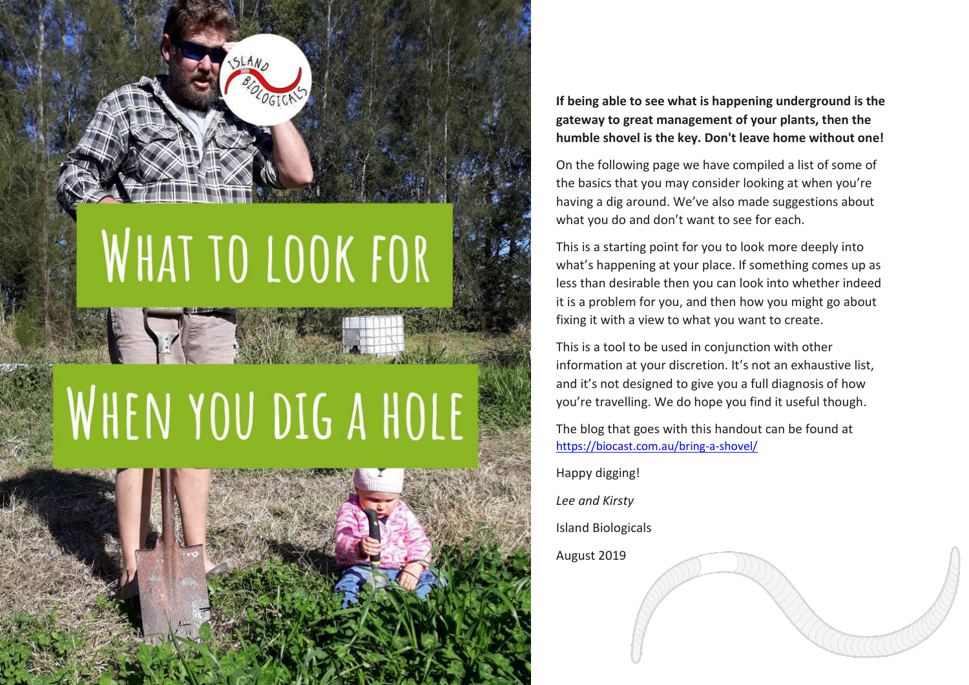

## WHAT TO LOOK FOR

## WHEN YOU DIG A HOLE



**If being able to see what is happening underground is the gateway to great management of your plants, then the humble shovel is the key. Don't leave home without one!**

On the following page we have compiled a list of some of the basics that you may consider looking at when you 're having a dig around. We've also made suggestions about what you do and don 't want to see for each.

This is a starting point for you to look more deeply into what 's happening at your place. If something comes up as less than desirable then you can look into whether indeed it is a problem for you, and then how you might go about fixing it with a view to what you want to create.

This is a tool to be used in conjunction with other information at your discretion. It 's not an exhaustive list, and it 's not designed to give you a full diagnosis of how you 're travelling. We do hope you find it useful though .

The blog that goes with this handout can be found at [https://biocast.com.au/bring](https://biocast.com.au/bring-a-shovel/) - a -shovel/

Happy digging!

*Lee and Kirsty*

Island Biological s

August 2019